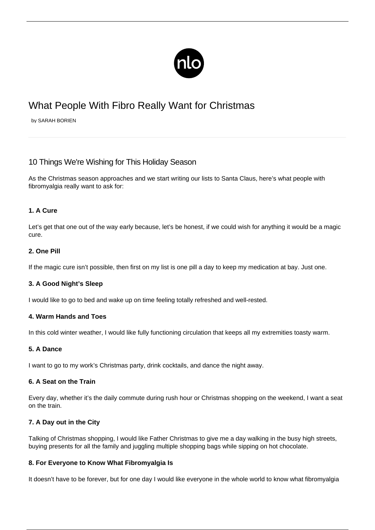

# What People With Fibro Really Want for Christmas

by SARAH BORIEN

# 10 Things We're Wishing for This Holiday Season

As the Christmas season approaches and we start writing our lists to Santa Claus, here's what people with fibromyalgia really want to ask for:

### **1. A Cure**

Let's get that one out of the way early because, let's be honest, if we could wish for anything it would be a magic cure.

#### **2. One Pill**

If the magic cure isn't possible, then first on my list is one pill a day to keep my [medication](/side-effects-of-fibromyalgia-medications/) at bay. Just one.

# **3. A Good Night's Sleep**

I would like to go to bed and wake up on time feeling totally refreshed and well-rested.

#### **4. Warm Hands and Toes**

In this cold winter weather, I would like fully functioning circulation that keeps all my extremities toasty warm.

#### **5. A Dance**

I want to go to my work's Christmas party, drink cocktails, and dance the night away.

#### **6. A Seat on the Train**

Every day, whether it's the daily commute during rush hour or Christmas shopping on the weekend, I want a seat on the train.

# **7. A Day out in the City**

Talking of Christmas shopping, I would like Father Christmas to give me a day walking in the busy high streets, buying presents for all the family and juggling multiple shopping bags while sipping on hot chocolate.

#### **8. For Everyone to Know What Fibromyalgia Is**

It doesn't have to be forever, but for one day I would like everyone in the whole world to know what fibromyalgia